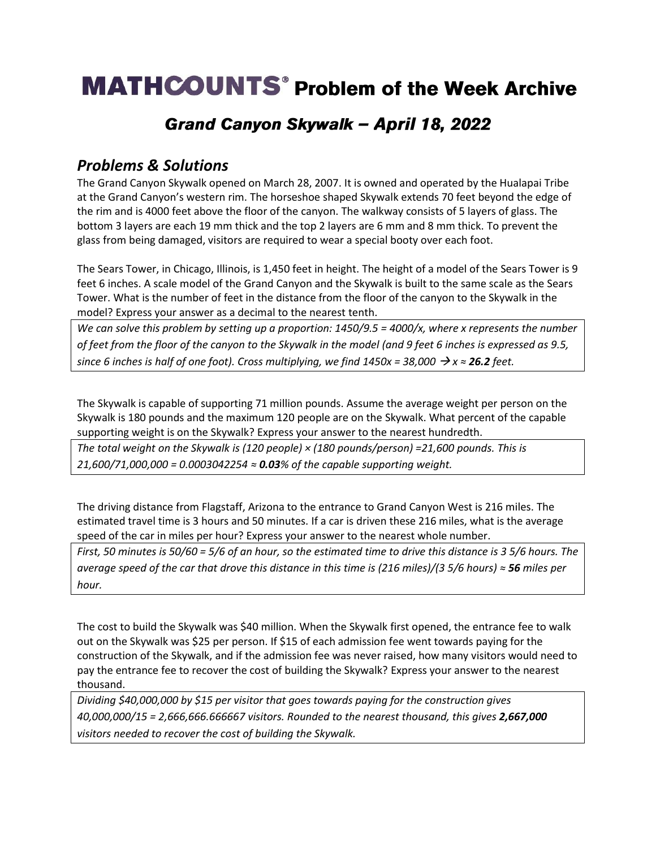# **MATHCOUNTS**<sup>®</sup> Problem of the Week Archive

## Grand Canyon Skywalk - April 18, 2022

### *Problems & Solutions*

The Grand Canyon Skywalk opened on March 28, 2007. It is owned and operated by the Hualapai Tribe at the Grand Canyon's western rim. The horseshoe shaped Skywalk extends 70 feet beyond the edge of the rim and is 4000 feet above the floor of the canyon. The walkway consists of 5 layers of glass. The bottom 3 layers are each 19 mm thick and the top 2 layers are 6 mm and 8 mm thick. To prevent the glass from being damaged, visitors are required to wear a special booty over each foot.

The Sears Tower, in Chicago, Illinois, is 1,450 feet in height. The height of a model of the Sears Tower is 9 feet 6 inches. A scale model of the Grand Canyon and the Skywalk is built to the same scale as the Sears Tower. What is the number of feet in the distance from the floor of the canyon to the Skywalk in the model? Express your answer as a decimal to the nearest tenth.

*We can solve this problem by setting up a proportion: 1450/9.5 = 4000/x, where x represents the number of feet from the floor of the canyon to the Skywalk in the model (and 9 feet 6 inches is expressed as 9.5, since 6 inches is half of one foot). Cross multiplying, we find*  $1450x = 38,000 \rightarrow x \approx 26.2$  *feet.* 

The Skywalk is capable of supporting 71 million pounds. Assume the average weight per person on the Skywalk is 180 pounds and the maximum 120 people are on the Skywalk. What percent of the capable supporting weight is on the Skywalk? Express your answer to the nearest hundredth.

*The total weight on the Skywalk is (120 people) × (180 pounds/person) =21,600 pounds. This is 21,600/71,000,000 = 0.0003042254 ≈ 0.03% of the capable supporting weight.*

The driving distance from Flagstaff, Arizona to the entrance to Grand Canyon West is 216 miles. The estimated travel time is 3 hours and 50 minutes. If a car is driven these 216 miles, what is the average speed of the car in miles per hour? Express your answer to the nearest whole number.

*First, 50 minutes is 50/60 = 5/6 of an hour, so the estimated time to drive this distance is 3 5/6 hours. The average speed of the car that drove this distance in this time is (216 miles)/(3 5/6 hours) ≈ 56 miles per hour.* 

The cost to build the Skywalk was \$40 million. When the Skywalk first opened, the entrance fee to walk out on the Skywalk was \$25 per person. If \$15 of each admission fee went towards paying for the construction of the Skywalk, and if the admission fee was never raised, how many visitors would need to pay the entrance fee to recover the cost of building the Skywalk? Express your answer to the nearest thousand.

*Dividing \$40,000,000 by \$15 per visitor that goes towards paying for the construction gives 40,000,000/15 = 2,666,666.666667 visitors. Rounded to the nearest thousand, this gives 2,667,000 visitors needed to recover the cost of building the Skywalk.*